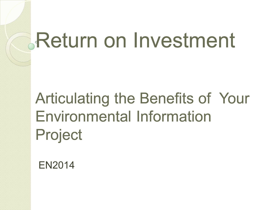# Return on Investment

### Articulating the Benefits of Your Environmental Information Project

EN2014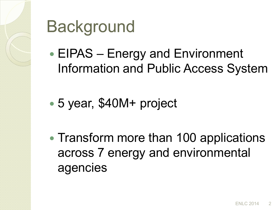

## **Background**

- EIPAS Energy and Environment Information and Public Access System
- 5 year, \$40M+ project
- Transform more than 100 applications across 7 energy and environmental agencies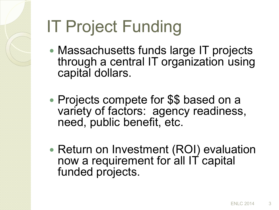# IT Project Funding

- Massachusetts funds large IT projects through a central IT organization using capital dollars.
- Projects compete for \$\$ based on a variety of factors: agency readiness, need, public benefit, etc.
- Return on Investment (ROI) evaluation now a requirement for all IT capital funded projects.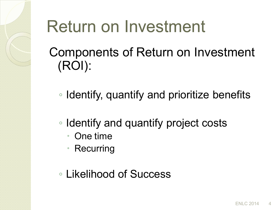### Return on Investment

Components of Return on Investment (ROI):

◦ Identify, quantify and prioritize benefits

- Identify and quantify project costs
	- One time
	- Recurring
- Likelihood of Success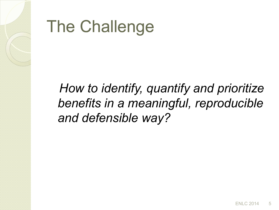

### The Challenge

 *How to identify, quantify and prioritize benefits in a meaningful, reproducible and defensible way?*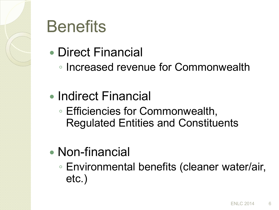

### **Benefits**

- Direct Financial
	- Increased revenue for Commonwealth
- Indirect Financial
	- Efficiencies for Commonwealth, Regulated Entities and Constituents
- Non-financial
	- Environmental benefits (cleaner water/air, etc.)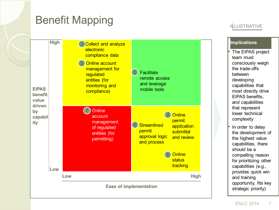### Benefit Mapping

### ILLUSTRATIVE



### **Implications**

• The EIPAS project team must consciously weigh the trade-offs between developing capabilities that most directly drive EIPAS benefits, and capabilities that represent lower technical complexity

In order to delay the development of the highest value capabilities, there should be a compelling reason for prioritizing other capabilities (e.g., provides quick win and training opportunity, fits key strategic priority)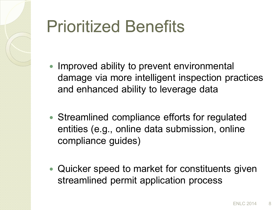# Prioritized Benefits

- Improved ability to prevent environmental damage via more intelligent inspection practices and enhanced ability to leverage data
- Streamlined compliance efforts for regulated entities (e.g., online data submission, online compliance guides)
- Quicker speed to market for constituents given streamlined permit application process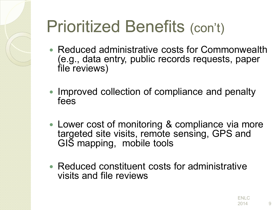## Prioritized Benefits (con't)

- Reduced administrative costs for Commonwealth (e.g., data entry, public records requests, paper file reviews)
- Improved collection of compliance and penalty fees
- Lower cost of monitoring & compliance via more targeted site visits, remote sensing, GPS and GIS mapping, mobile tools
- Reduced constituent costs for administrative visits and file reviews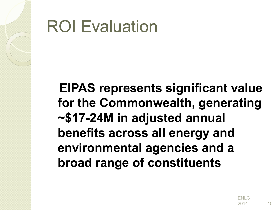### ROI Evaluation

 **EIPAS represents significant value for the Commonwealth, generating ~\$17-24M in adjusted annual benefits across all energy and environmental agencies and a broad range of constituents**